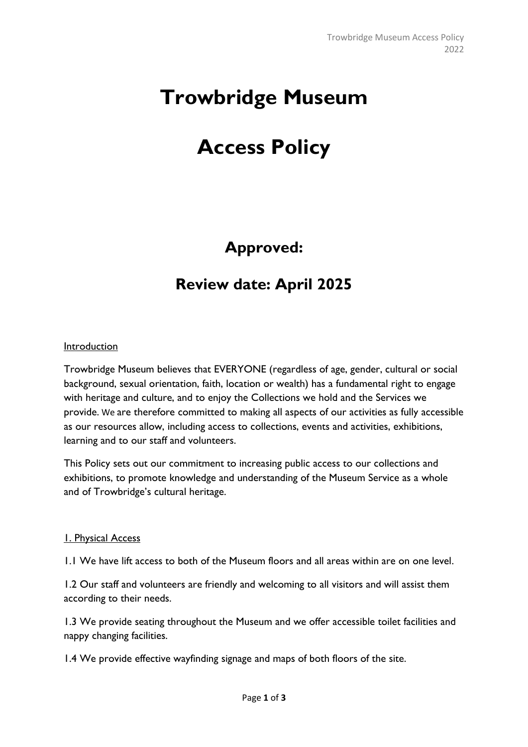# **Trowbridge Museum**

## **Access Policy**

## **Approved:**

### **Review date: April 2025**

#### Introduction

Trowbridge Museum believes that EVERYONE (regardless of age, gender, cultural or social background, sexual orientation, faith, location or wealth) has a fundamental right to engage with heritage and culture, and to enjoy the Collections we hold and the Services we provide. We are therefore committed to making all aspects of our activities as fully accessible as our resources allow, including access to collections, events and activities, exhibitions, learning and to our staff and volunteers.

This Policy sets out our commitment to increasing public access to our collections and exhibitions, to promote knowledge and understanding of the Museum Service as a whole and of Trowbridge's cultural heritage.

#### 1. Physical Access

1.1 We have lift access to both of the Museum floors and all areas within are on one level.

1.2 Our staff and volunteers are friendly and welcoming to all visitors and will assist them according to their needs.

1.3 We provide seating throughout the Museum and we offer accessible toilet facilities and nappy changing facilities.

1.4 We provide effective wayfinding signage and maps of both floors of the site.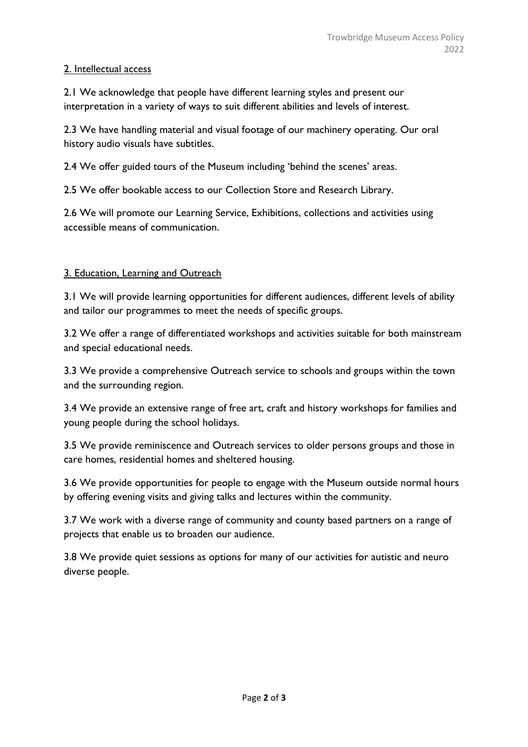#### 2. Intellectual access

2.1 We acknowledge that people have different learning styles and present our interpretation in a variety of ways to suit different abilities and levels of interest.

2.3 We have handling material and visual footage of our machinery operating. Our oral history audio visuals have subtitles.

2.4 We offer guided tours of the Museum including 'behind the scenes' areas.

2.5 We offer bookable access to our Collection Store and Research Library.

2.6 We will promote our Learning Service, Exhibitions, collections and activities using accessible means of communication.

#### 3. Education, Learning and Outreach

3.1 We will provide learning opportunities for different audiences, different levels of ability and tailor our programmes to meet the needs of specific groups.

3.2 We offer a range of differentiated workshops and activities suitable for both mainstream and special educational needs.

3.3 We provide a comprehensive Outreach service to schools and groups within the town and the surrounding region.

3.4 We provide an extensive range of free art, craft and history workshops for families and young people during the school holidays.

3.5 We provide reminiscence and Outreach services to older persons groups and those in care homes, residential homes and sheltered housing.

3.6 We provide opportunities for people to engage with the Museum outside normal hours by offering evening visits and giving talks and lectures within the community.

3.7 We work with a diverse range of community and county based partners on a range of projects that enable us to broaden our audience.

3.8 We provide quiet sessions as options for many of our activities for autistic and neuro diverse people.